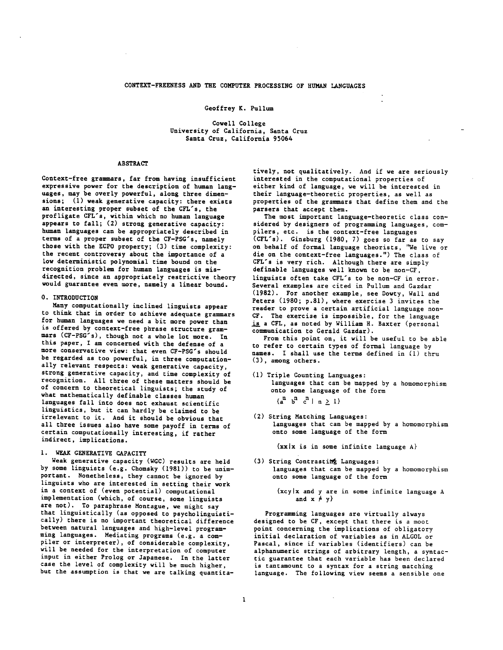#### Geoffrey K. Pullum

Cowell College University of California, Santa Cruz Santa Cruz, California 95064

#### ABSTRACT

Context-free grammars, far from having insufficient expressive power for the description of human languages, may he overly powerful, along three dimensions; (i) weak generative capacity: there exists an interesting proper subset of the CFL's, the profligate CFL's, within which no human language appears to fall; (2) strong generative capacity: human languages can be appropriately described in terms of a proper subset of the CF-PSG's, namely those with the ECPO property; (3) time complexity: the recent controversy about the importance of a low deterministic polynomial time bound on the recognition problem for human languages is misdirected, since an appropriately restrictive theory would guarantee even more, namely a linear bound.

## 0. INTRODUCTION

Many computationally inclined linguists appear to think that in order to achieve adequate grammars for human languages we need a hit more power than is offered by context-free phrase structure grammars (CF-PSG's), though not a whole lot more. In this paper, I am concerned with the defense of a more conservative view: that even CF-PSG's should be regarded as too powerful, in three computationally relevant respects: weak generative capacity, strong generative capacity, and time complexity of recognition. All three of these matters should be of concern to theoretical linguists; the study of what mathematically definable classes human languages fall into does not exhaust scientific linguistics, hut it can hardly he claimed to he irrelevant to it. And it should be obvious that all three issues also have some payoff in terms of certain computationally interesting, if rather indirect, implications.

#### I. WEAK GENERATIVE CAPACITY

Weak generative capacity (WGC) results are held by some linguists (e.g. Chomsky (1981)) to be unimportant. Nonetheless, they cannot be ignored by linguists who are interested in setting their work in a context of (even potential) computational implementation (which, of course, some linguists are not). To paraphrase Montague, we might say that linguistically (as opposed to psycholinguistically) there is no important theoretical difference between natural languages and high-level programming languages. Mediating programs (e.g. a compiler or interpreter), of considerable complexity, will be needed for the interpretation of computer input in either Prolog or Japanese. In the latter case the level of complexity will be much higher, but the assumption is that we are talking quantitatively, not qualitatively. And if we are seriously interested in the computational properties of either kind of language, we will be interested in their language-theoretic properties, as well as properties of the grammars that define them and the parsers that accept them.

The most important language-theoretic class considered by designers of programming languages, compilers, etc. is the context-free languages (CFL's). Ginsburg (1980, 7) goes so far as to say on behalf of formal language theorists, "We live or die on the context-free languages.") The class of CFL's is very rich. Although there are simply definable languages well known to be non-CF, linguists often take CFL's to be non-CF in error. Several examples are cited in Pullum and Gazdar (1982). For another example, see Dowty, Wall and Peters (1980; p.81), where exercise 3 invites the reader to prove a certain artificial language non-CF. The exercise is impossible, for the language is a CFL, as noted by William H. Baxter (personal communication to Gerald Gazdar).

From this point on, it will he useful to be able to refer to certain types of formal language by names. I shall use the terms defined in (1) thru (3), among others.

- (i) Triple Counting Languages: languages that can be mapped by a homomorphism onto some language of the form  $\{a^{n}$   $b^{n}$   $c^{n}$  | n > 1}
- (2) String Matching Languages: languages that can be mapped by a homomorphism onto some language of the form

 $\{xx \mid x \text{ is in some infinite language A}\}$ 

- (3) String Contrasting Languages: languages that can be mapped by a homomorphism onto some language of the form
	- $\{xcy|x|$  and y are in some infinite language A and  $x \neq y$

Programming languages are virtually always designed to be CF, except that there is a moot point concerning the implications of obligatory initial declaration of variables as in ALGOL or Pascal, since if variables (identifiers) can be alphanumeric strings of arbitrary length, a syntactic guarantee that each variable has been declared is tantamount to a syntax for a string matching language. The following view seems a sensible one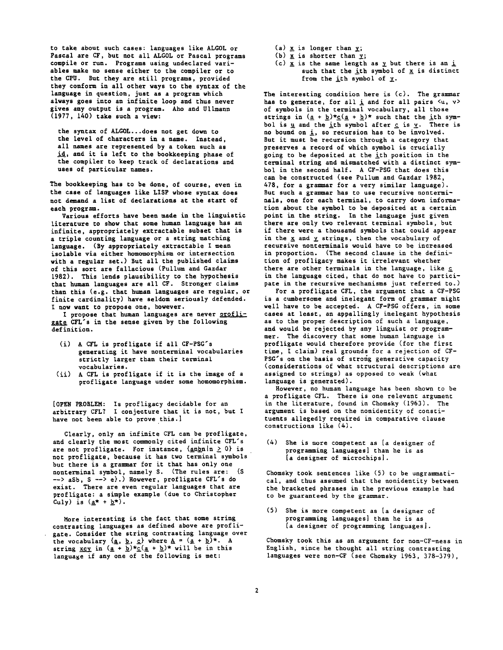to take about such cases: languages like ALGOL or Pascal are CF, but not all ALGOL or Pascal programs compile or run. Programs using undeclared variables make no sense either to the compiler or to the CPU. But they are still programs, provided they conform in all other ways to the syntax of the language in question, just as a program which always goes into an infinite loop and thus never gives any output is a program. Aho and Ullmann (1977, 140) take such a view:

the syntax of ALGOL...does not get down to the level of characters in a name. Instead, all names are represented by a token such as id, and it is left to the bookkeeping phase of the compiler to keep track of declarations and uses of particular names.

The bookkeeping has to be done, of course, even in the case of languages like LISP whose syntax does not demand a list of declarations at the start of each program.

Various efforts have been made in the linguistic literature to show that some human language has an infinite, appropriately extractable subset that is a triple counting language or a string matching language. (By appropriately extractable I mean isolable via either homomorphism or intersection with a regular set.) But all the published claims of this sort are fallacious (Pullum and Gazdar 1982). This lends plausibility to the hypothesis that human languages are all CF. Stronger claims than this (e.g. that human languages are regular, or finite cardinality) have seldom seriously defended. I now want to propose one, however.

I propose that human languages are never profligate CFL's in the sense given by the following definition.

- (i) A CFL is profligate if all CF-PSG's generating it have nonterminal vocabularies strictly larger than their terminal vocabularies.
- (ii) A CFL is profligate if it is the image of a profligate language under some homomorphism.

[OPEN PROBLEM: Is profligacy decidable for an arbitrary CFL? I conjecture that it is not, but I have not been able to prove this.]

Clearly, only an infinite CPL can be profligate, and clearly the most commonly cited infinite CFL's are not profligate. For instance,  $\{\underline{anbn} | n \geq 0\}$  is not profligate, because it has two terminal symbols but there is a grammar for it that has only one nonterminal symbol, namely S. (The rules are: (S --> aSb, S --> e}.) However, profligate CFL's do exist. There are even regular languages that are profligate: a simple example (due to Christopher Culy) is  $(\underline{a^*} + \underline{b^*})$ .

More interesting is the fact that some string contrasting languages as defined above are profligate. Consider the string contrasting language over the vocabulary  $\{ \underline{a}, \underline{b}, \underline{c} \}$  where  $\underline{A} = \{ \underline{a} + \underline{b} \}^{\pi}$ . A string  $xcy$  in  $(a + b)*c(a + b)*$  will be in this language if any one of the following is met:

- $(a)$  x is longer than  $y$ ;
- (b)  $x$  is shorter than  $y$ ;
- (c)  $\underline{x}$  is the same length as  $\underline{y}$  but there is an  $\underline{i}$ such that the ith symbol of  $x$  is distinct from the ith symbol of  $y$ .

The interesting condition here is (c). The grammar has to generate, for all  $\underline{i}$  and for all pairs  $\langle u, v \rangle$ of symbols in the terminal vocabulary, all those strings in  $(\underline{a} + \underline{b}) \star \underline{c} (\underline{a} + \underline{b}) \star$  such that the ith symbol is  $\underline{u}$  and the ith symbol after  $\underline{c}$  is  $\underline{v}$ . There is no bound on i, so recursion has to be involved. But it must be recursion through a category that preserves a record of which symbol is crucially going to be deposited at the ith position in the terminal string and mismatched with a distinct symbol in the second half. A CF-PSG that does this can be constructed (see Pullum and Gazdar 1982, 478, for a grammar for a very similar language). But such a grammar has to use recursive nonterminals, one for each terminal, to carry down information about the symbol to be deposited at a certain point in the string. In the language just given there are only two relevant terminal symbols, but if there were a thousand symbols that could appear in the  $x$  and  $y$  strings, then the vocabulary of recursive nonterminals would have to be increased in proportion. (The second clause in the definition of profligacy makes it irrelevant whether there are other terminals in the language, like g in the language cited, that do not have to participate in the recursive mechanisms just referred to.)

For a profligate CFL, the argument that a CF-PSG is a cumbersome and inelegant form of grammar might well have to be accepted. A CF-PSG offers, in some cases at least, an appallingly inelegant hypothesis as to the proper description of such a language, and would be rejected by any linguist or programmer. The discovery that some human language is profligate would therefore provide (for the first time, I claim) real grounds for a rejection of CF-PSG's on the basis of strong generative capacity (considerations of what structural descriptions are assigned to strings) as opposed to weak (what language is generated).

However, no human language has been shown to be a profligate CFL. There is one relevant argument in the literature, found in Chomsky (1963). The argument is based on the nonidentity of constituents allegedly required in comparative clause constructions like (4).

(4) She is more competent as [a designer of programming languages] than he is as [a designer of microchips].

Chomsky took sentences like (5) to be ungrammatical, and thus assumed that the nonidentity between the bracketed phrases in the previous example had to be guaranteed by the grammar.

(5) She is more competent as [a designer of programming languages] than he is as [a designer of programming languages|.

Chomsky took this as an argument for non-CF-ness in English, since he thought all string contrasting languages were non-CF (see Chomsky 1963, 378-379),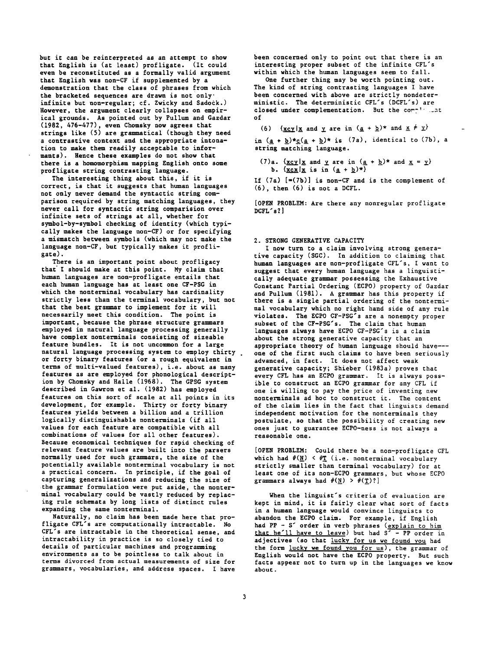but it can be reinterpreted as an attempt to show that English is (at least) profligate. (It could even be reconstituted as a formally valid argument that English was non-CF if supplemented by a demonstration that the class of phrases from which the bracketed sequences are drawn is not only" infinite but non-regular; of. Zwicky and Sadock.) However, the argument clearly collapses on empirical grounds. As pointed out by Pullum and Gazdar (1982, 476-477), even Chomsky now agrees that strings like (5) are grammatical (though they need a contrastive context and the appropriate intonation to make them readily acceptable to informants). Hence these examples do not show that there is a homomorphism mapping English onto some profligate string contrasting language.

The interesting thing about this, if it is correct, is that it suggests that human languages not only never demand the syntactic string comparison required by string matching languages, they never call for syntactic string comparision over infinite sets of strings at all, whether for symbol-by-symbol checking of identity (which typically makes the language non-CF) or for specifying a mismatch between symbols (which may not make the language non-CF, but typically makes it profligate).

There is an important point about profligacy that" I should make at this point. My claim that human languages are non-profligate entails that each human language has at least one CF-PSG in which the nonterminal vocabulary has cardinality strictly less than the terminal vocabulary, but not that the best grammar to implement for it will necessarily meet this condition. The point is important, because the phrase structure grammars employed in natural language processing generally have complex nonterminals consisting of sizeable feature bundles. It is not uncommon for a large natural language processing system to employ thirty . or forty binary features (or a rough equivalent in terms of multi-valued features), i.e. about as many features as are employed for phonological description by Chomsky and Halle (1968). The GPSG system described in Gawron et al. (1982) has employed features on this sort of scale at all points in its development, for example. Thirty or forty binary features yields between a billion and a trillion logically distinguishable nonterminals (if all values for each feature are compatible with all combinations of values for all other features). Because economical techniques for rapid checking of relevant feature values are built into the parsers normally used for such grammars, the size of the potentially available nonterminal vocabulary is not a practical concern. In principle, if the goal of capturing generalizations and reducing the size of the grammar formulation were put aside, the nonterminal vocabulary could be vastly reduced by replacing rule schemata by long lists of distinct rules expanding the same nonterminal.

Naturally, no claim has been made here that profligate CFL's are computationally intractable. No CFL's are intractable in the theoretical sense, and intractability in practice is so closely tied to details of particular machines and programming environments as to be pointless to talk about in terms divorced from actual measurements of size for grammars, vocabularies, and address spaces. I have

been concerned only to point out that there is an interesting proper subset of the infinite CFL's within which the human languages seem to fall.

One further thing may be worth pointing out. The kind of string contrasting languages I have been concerned with above are strictly nondeterministic. The deterministic CFL's (DCFL's) are closed under complementation. But the complicant of

(6) {xcy|x and y are in  $(\underline{a} + \underline{b})^*$  and  $\underline{x} \neq \underline{y}$ } in  $(a + b) * c(a + b) *$  is (7a), identical to (7b), a string matching language.

(7)a.  $\{xcy | x \text{ and } y \text{ are in } (\underline{a} + \underline{b})^* \text{ and } x = y\}$ b.  $\{x \in x | x \text{ is in } (\underline{a} + \underline{b})^* \}$ 

If  $(7a)$  [=(7b)] is non-CF and is the complement of (6), then (6) is not a DCFL.

[OPEN PROBLEM: Are there any nonregular profligate DCFL's?]

#### 2. STRONG GENERATIVE CAPACITY

I now turn to a claim involving strong generative capacity (SGC). In addition to claiming that human languages are non-profligate CFL's, I want to suggest that every human language has a linguistically adequate grammar possessing the Exhaustive Constant Partial Ordering (ECPO) property of Gazdar and Pullum (1981). A grammar has this property if there is a single partial ordering of the nonterminal vocabulary which no right hand side of any rule violates. The ECPO CF-PSG's are a nonempty proper subset of the CF-PSG's. The claim that human languages always have ECPO CF-PSG's is a claim about the strong generative capacity that an appropriate theory of human language should have-- one of the first such claims to have been seriously advanced, in fact. It does not affect weak generative capacity; Shieber (1983a) proves that every CFL has an ECPO grammar. It is always possible to construct an ECPO grammar for any CFL if one is willing to pay the price of inventing new nonterminals ad hoc to construct it. The content of the claim lies in the fact that linguists demand independent motivation for the nonterminals they postulate, so that the possibility of creating new ones just to guarantee ECPO-ness is not always a reasonable one.

[OPEN PROBLEM: Could there be a non-profligate CFL which had  $\#(\underline{N}) < \# \underline{T}$  (i.e. nonterminal vocabulary strictly smaller than terminal vocabulary) for at least one of its non-ECPO grammars, but whose ECPO grammars always had  $\#(\underline{N}) > \#(\underline{T})$ ?

When the linguist's criteria of evaluation are kept in mind, it is fairly clear what sort of facts in a human language would convince linguists to abandon the ECPO claim. For example, if English had PP - S' order in verb phrases (<u>explain to him</u> that he'll have to leave) but had S' - PP order in adjectives (so that lucky for us we found you had the form lucky we found you for us), the grammar of English would not have the ECPO property. But such facts appear not to turn up in the languages we know about.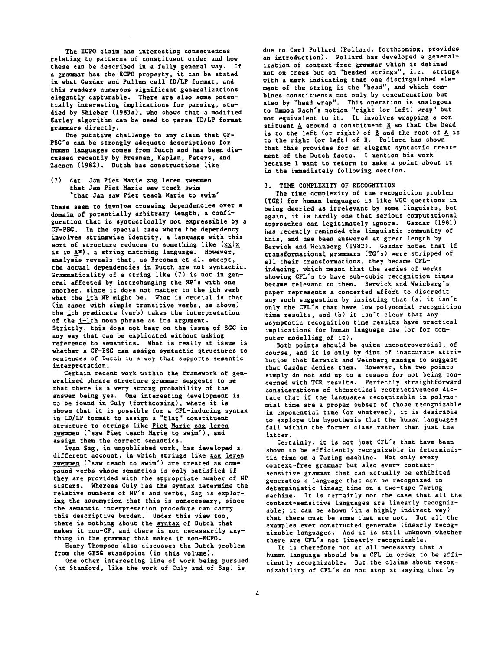The ECPO claim has interesting consequences relating to patterns of constituent order and how these can be described in a fully general way. If a grammar has the ECPO property, it can be stated in what Gazdar and Pullum call ID/LP format, and this renders numerous significant generalizations elegantly capturable. There are also some potentially interesting implications for parsing, studied by Shieber (1983a), who shows that a modified Earley algorithm can be used to parse ID/LP format grammars directly.

One putative challenge to any claim that CF-PSG's can be strongly adequate descriptions for human languages comes from Dutch and has been discussed recently by Bresnan, Kaplan, Peters, and Zaenen (1982). Dutch has constructions like

(7) dat Jan Pier Marie zag leren zwemmen that Jan Pier Marie saw teach swim 'that Jan saw Piet teach Marie to swim'

These seem to involve crossing dependencies over a domain of potentially arbitrary length, a configuration that is syntactically not expressible by a CF-PSG. In the special case where the dependency involves stringwise identity, a language with this sort of structure reduces to something like  $\{xx|x\}$ is in  $\underline{A}^*$ , a string matching language. However, analysis reveals that, as Bresnan et al. accept, the actual dependencies in Dutch are not syntactic. Grammaticality of a string like (7) is not in general affected by interchanging the NP's with one another, since it does not matter to the ith verb what the ith NP might be. What is crucial is that (in cases with simple transitive verbs, as above) the ith predicate (verb) takes the interpretation of the i-ith noun phrase as its argument. Strictly, this does not bear on the issue of SGC in any way that can be explicated without making reference to semantics. What is really at issue is whether a CF-PSG can assign syntactic qtructures to sentences of Dutch in a way that supports semantic interpretation.

Certain recent work within the framework of generalized phrase structure grammar suggests to me that there is a very strong probability of the answer being yes. One interesting development is to be found in Culy (forthcoming), where it is shown that it is possible for a CFL-inducing syntax in ID/LP format to assign a "flat" constituent structure to strings like Piet Marie zag leren zwemmen ('saw Pier teach Marie to swim'), and assign them the correct semantics.

Ivan Sag, in unpublished work, has developed a different account, in which strings like zag leren zwemmen ('saw teach to swim') are treated as compound verbs whose semantics is only satisfied if they are provided with the appropriate number of NP sisters. Whereas Culy has the syntax determine the relative numbers of NP's and verbs, Sag is exploring the assumption that this is unnecessary, since the semantic interpretation procedure can carry this descriptive burden. Under this view too, there is nothing about the syntax of Dutch that makes it non-CF, and there is not necessarily anything in the grammar that makes it non-ECPO.

Henry Thompson "also discusses the Dutch problem from the GPSG standpoint (in this volume).

One other interesting line of work being pursued (at Stanford, like the work of Culy and of Sag) is

due to Carl Pollard (Pollard, forthcoming, provides an introduction). Pollard has developed a generalization of context-free grammar which is defined not on trees but on "headed strings", i.e. strings with a mark indicating that one distinguished element of the string is the "head", and which combines constituents not only by concatenation but also by "head wrap". This operation is analogous to Emmon Bach's notion "right (or left) wrap" but not equivalent to it. It involves wrapping a constituent  $A$  around a constituent  $B$  so that the head is to the left (or right) of B and the rest of  $A$  is to the right (or left) of  $\underline{B}$ . Pollard has shown that this provides for an elegant syntactic treatment of the Dutch facts. I mention his work because I want to return to make a point about it in the immediately following section.

# 3. TIME COMPLEXITY OF RECOGNITION

The time complexity of the recognition problem (TCR) for human languages is like WGC questions in being decried as irrelevant by some linguists, but again, it is hardly one that serious computational approaches can legitimately ignore. Gazdar (1981) has recently reminded the linguistic community of this, and has been answered at great length by Berwick and Weinberg (1982). Gazdar noted that if transformational grammars (TG's) were stripped of all their transformations, they became CFLinducing, which meant that the series of works showing CFL's to have sub-cubic recognition times became relevant to them. Berwick and Weinberg's paper represents a concerted effort to discredit any such suggestion by insisting that (a) it isn't only the CFL's that have low polynomial recognition time results, and (b) it isn't clear that any asymptotic recognition time results have practical implications for human language use (or for computer modelling of it).

Both points should be quite uncontroversial, of course, and it is only by dint of inaccurate attribution that Berwick and Weinberg manage to suggest that Gazdar denies them. However, the two points simply do not add up to a reason for not being concerned with TCR results. Perfectly straightforward considerations of theoretical restrictiveness dictate that if the languages recognizable in polynomial time are a proper subset of those recognizable in exponential time (or whatever), it is desirable to explore the hypothesis that the human languages fall within the former class rather than just the latter.

Certainly, it is not just CFL's that have been shown to be efficiently recognizable in deterministic time on a Turing machine. Not only every context-free grammar but also every contextsensitive grammar that can actually be exhibited generates a language that can be recognized in deterministic linear time on a two-tape Turing machine. It is certainly not the case that all the context-sensitive languages are linearly recognizable; it can be shown (in a highly indirect way) that there must be some that are not. But all the examples ever constructed generate linearly recognizable languages. And it is still unknown whether there are CFL's not linearly recognizable.

It is therefore not at all necessary that a human language should be a CFL in order to be efficiently recognizable. But the claims about recognizability of CFL's do not stop at saying that by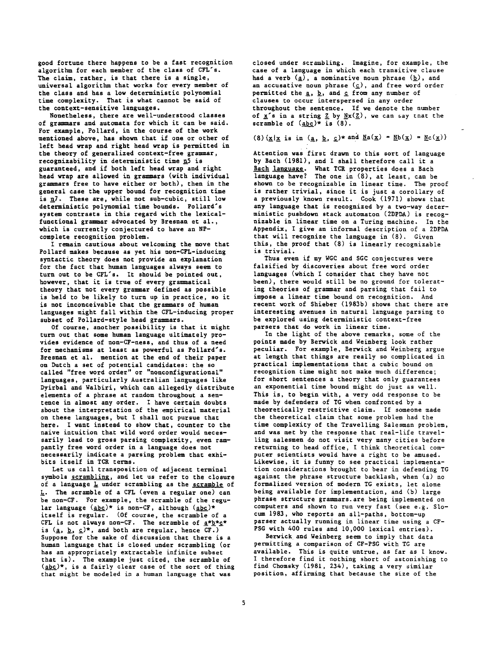good fortune there happens to be a fast recognition algorithm for each member of the class of CFL's. The claim, rather, is that there is a single, universal algorithm that works for every member of the class and has a low deterministic polynomial time complexity. That is what cannot be said of the context-sensitive languages.

Nonetheless, there are well-understood classes of grammars and automata for which it can be said. For example, Pollard, in the course of the work mentioned above, has shown that if one or other of left head wrap and right head wrap is permitted in the theory of generalized context-free grammar, recognizability in deterministic time  $\overline{n}$ 5 is guaranteed, and if both left head wrap and right head wrap are allowed in grammars (with individual grammars free to have either or both), then in the general case the upper bound for recognition time is  $\underline{n}7$ . These are, while not sub-cubic, still low deterministic polynomial time bounds. Pollard's system contrasts in this regard with the lexicalfunctional grammar advocated by Bresnan et al., which is currently conjectured to have an NPcomplete recognition problem.

I remain cautious about welcoming the move that Pollard makes because as yet his non-CFL-inducing syntactic theory does not provide an explanation for the fact that human languages always seem to turn out to be CFL's. It should be pointed out, however, that it is true of every grammatical theory that not every grammar defined as possible is held to be likely to turn up in practice, so it is not inconceivable that the grammars of human languages might fall within the CFL-inducing proper subset of Pollard-style head grammars.

Of course, another possibility is that it might turn out that some human language ultimately provides evidence of non-CY-ness, and thus of a need for mechanisms at least as powerful as Pollard's. Bresnan et al. mention at the end of their paper on Dutch a set of potential candidates: the so called "free word order" or "nonconfigurational" languages, particularly Australian languages like Dyirbal and Walbiri, which can allegedly distribute elements of a phrase at random throughout a sentence in almost any order. I have certain doubts about the interpretation of the empirical material on these languages, but I shall not pursue chat here. I want instead to show that, counter to the naive intuition that wild word order would necessarily lead to gross parsing complexity, even rampantly free word order in a language does not necessarily indicate a parsing problem that exhibits itself in TCR terms.

Let us call transposition of adjacent terminal symbols scrambling, and let us refer to the closure of a language  $L$  under scrambling as the scramble of L. The scramble of a CFL (even a regular one) can he non-CF. For example, the scramble of the regular language (abc)\* is non-CF, although (abc)\* itself is regular. (Of course, the scramble of a CFL is not always non-CF. The scramble of  $\underline{a}*\underline{b}*\underline{c}*$ is  $({\underline{a}}, {\underline{b}}, {\underline{c}})^*$ , and both are regular, hence CF.) Suppose for the sake of discussion that there is a human language that is closed under scrambling (or has an appropriately extractable infinite subset that is). The example just cited, the scramble of (<u>abc</u>)\*, is a fairly clear case of the sort of thing that might be modeled in a human language that was

closed under scrambling. Imagine, for example, the case of a language in which each transitive clause had a verb  $(a)$ , a nominative noun phrase  $(b)$ , and an accusative noun phrase  $(\underline{c})$ , and free word order permitted the  $\underline{a}$ ,  $\underline{b}$ , and  $\underline{c}$  from any number of clauses to occur interspersed in any order throughout the sentence. If we denote the number of  $x'$ s in a string  $Z$  by  $Nx(Z)$ , we can say that the scramble of  $(\underline{abc})^*$  is  $(8)$ .

# (8)  $\{\underline{x}|\underline{x} \text{ is in } (\underline{a}, \underline{b}, \underline{c})\}$  and  $\underline{N}a(\underline{x}) = \underline{N}b(\underline{x}) = \underline{N}c(\underline{x})\}$

Attention was first drawn to this sort of language by Bach (1981), and I shall therefore call it a<br>Bach language. What TCR properties does a Bach What TCR properties does a Bach language have? The one in (8), at least, can be shown to be recognizable in linear time. The proof is rather trivial, since it is just a corollary of a previously known result. Cook (1971) shows that any language that is recognized by a two-way deterministic pushdown stack automaton (2DPDA) is recognizable in linear time on a Turing machine. In the Appendix, I give an informal description of a 2DPDA that will recognize the language in  $(8)$ . Given this, the proof that (8) is linearly recognizable is trivial.

Thus even if my WGC and SGC conjectures were falsified by discoveries about free word order languages (which I consider that they have not been), there would still be no ground for tolerating theories of grammar and parsing that fail to impose a linear time bound on recognition. And recent work of Shieber (1983b) shows that there are interesting avenues in natural language parsing to be explored using deterministic context-free parsers that do work in linear time.

In the light of the above remarks, some of the points made by Berwick and Weinberg look rather peculiar. For example, Berwick and Weinberg argue at length that things are really so complicated in practical implementations that a cubic bound on recognition time might not make much difference; for short sentences a theory that only guarantees an exponential time bound might do just as well. This is, to begin with, a very odd response to be made by defenders of TG when confronted by a theoretically restrictive claim. If someone made the theoretical claim that some problem had the time complexity of the Travelling Salesman problem, and was met by the response that real-life travelling salesmen do not visit very many cities before returning to head office, I think theoretical computer scientists would have a right to be amused. Likewise, it is funny to see practical implementation considerations brought to bear in defending TG against the phrase structure backlash, when (a) no formalized version of modern TG exists, let alone being available for implementation, and (b) large phrase structure grammars.are being implemented on computers and shown to run very fast (see e.g. Slocum 1983, who reports an all-paths, bottom-up parser actually running in linear time using a CF-PSG with 400 rules and i0,000 lexical entries).

Berwick and Weinberg seem to imply that data permitting a comparison of CF-PSG with TG are available. This is quite untrue, as far as I know. I therefore find it nothing short of astonishing to find Chomsky (1981, 234), taking a very similar position, affirming that because the size of the